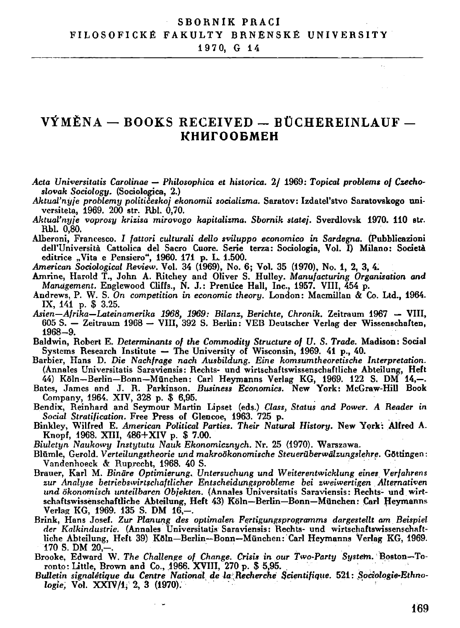## **SBORNIK PRACI** FILOSOFICKÉ FAKULTY BRNĚNSKÉ UNIVERSITY 1970, G 14

## VÝMĚNA – BOOKS RECEIVED – BÜCHEREINLAUF – **КНИГООБМЕН**

- Acta Universitatis Carolinae Philosophica et historica. 2/ 1969: Topical problems of Czechoslovak Sociology. (Sociologica, 2.)
- Aktual'nyje problemy političeskoj ekonomii socializma. Saratov: Izdatel'stvo Saratovskogo universiteta, 1969. 200 str. Rbl. 0.70.
- Aktual'nyje voprosy krizisa mirovogo kapitalizma. Sbornik statej. Sverdlovsk 1970. 110 str. Rbl. 0.80.
- Alberoni, Francesco. I fattori culturali dello sviluppo economico in Sardegna. (Pubblicazioni dell'Università Cattolica del Sacro Cuore. Serie terza: Sociologia, Vol. I) Milano: Società editrice "Vita e Pensiero", 1960. 171 p. L. 1.500.
- American Sociological Review. Vol. 34 (1969), No. 6; Vol. 35 (1970), No. 1, 2, 3, 4.
- Amrine, Harold T., John A. Ritchey and Oliver S. Hulley. Manufacturing Organisation and Manugement. Englewood Cliffs., N. J.: Prentice Hall, Inc., 1957. VIII, 454 p.
- Andrews, P. W. S. On competition in economic theory. London: Macmillan & Co. Ltd., 1964. IX, 141 p. \$ 3.25.
- Asien-Afrika-Lateinamerika 1968, 1969: Bilanz, Berichte, Chronik. Zeitraum 1967 VIII, 605 S. - Zeitraum 1968 - VIII, 392 S. Berlin: VEB Deutscher Verlag der Wissenschaften,  $1968 - 9.$
- Baldwin, Robert E. Determinants of the Commodity Structure of U.S. Trade. Madison: Social Systems Research Institute - The University of Wisconsin, 1969. 41 p., 40.<br>Barbier, Hans D. Die Nachfrage nach Ausbildung. Eine komsumtheoretische Interpretation.
- (Annales Universitatis Saraviensis: Rechts- und wirtschaftswissenschaftliche Abteilung, Heft 44) Köln-Berlin-Bonn-München: Carl Heymanns Verlag KG, 1969. 122 S. DM 14,-. Bates, James and J. R. Parkinson. Business Economics. New York: McGraw-Hill Book
- Company, 1964. XIV, 328 p. \$ 6,95.<br>Bendix, Reinhard and Seymour Martin Lipset (eds.) Class, Status and Power. A Reader in
- Social Stratification. Free Press of Glencoe, 1963. 725 p.
- Binkley, Wilfred E. American Political Parties. Their Natural History. New York: Alfred A. Knopf, 1968. XIII, 486+XIV p. \$ 7.00.
- Biuletyn Naukowy Instytutu Nauk Ekonomicznych. Nr. 25 (1970). Warszawa.
- Blümle, Gerold, Verteilungstheorie und makroökonomische Steuerüberwälzungslehre, Göttingen: Vandenhoeck & Ruprecht, 1968. 40 S.
- Brauer, Karl M. Binäre Optimierung. Untersuchung und Weiterentwicklung eines Verfahrens zur Analuse betriebswirtschaftlicher Entscheidungsprobleme bei zweiwertigen Alternativen und ökonomisch unteilbaren Obiekten. (Annales Universitatis Saraviensis: Rechts- und wirtschaftswissenschaftliche Abteilung, Heft 43) Köln-Berlin-Bonn-München: Carl Heymanns Verlag KG, 1969. 135 S. DM 16.-.
- Brink, Hans Josef. Zur Planung des optimalen Fertigungsprogramms dargestellt am Beispiel der Kalkindustrie. (Annales Universitatis Saraviensis: Rechts- und wirtschaftswissenschaftliche Abteilung, Heft 39) Köln-Berlin-Bonn-München: Carl Heymanns Verlag KG, 1969. 170 S. DM 20,-.
- Brooke, Edward W. The Challenge of Change. Crisis in our Two-Party System. Boston-Toronto: Little, Brown and Co., 1966. XVIII, 270 p. \$ 5,95.
- Bulletin signaletique du Centre National de la Recherche Scientifique. 521: Sociologie-Ethnologie, Vol. XXIV/1, 2, 3 (1970).

v.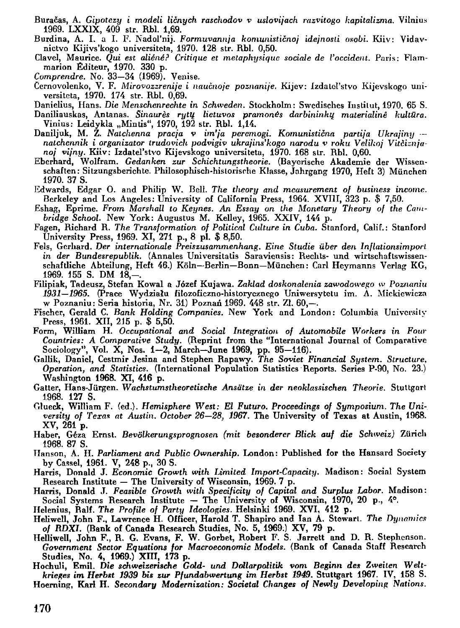- Buračas, A . *Gipotczy i modeli ličnych raschodov v uslovijach razvitogo kapitalizmu.* Vilnius 1969. LXXIX, 409 str. Rbl. 1,69.
- Burdina, A. I. a I. F. Nadol'nij. Formuvannja komunističnoj idejnosti osobi. Kiiv: Vidavnictvo Kijivs'kogo universiteta, 1970. 128 str. Rbl. 0,50.
- Clavel, Maurice. *Qui est aliéné? Critique et metaphysique sociále de Voccident.* Paris: Flammarion Éditeur, 1970. 330 p.
- *Comprendre.* No. 33—34 (1969). Venise.
- Ccrnovolenko, V . F. *Mirovozzrenije i naučnoje poznanije.* Kijev : ízdalel'stvo Kijevskogo universiteta, 1970. 174 str. Rbl. 0,69.
- Danielius, Hans. *Die Menschenrechte in Schweden.* Stockholm: Swedisches Institut, 1970. 65 S.
- Daniliauskas, Antanas. *Sinaurěs rytu lietuvos pramonés darbininku materialiné kultura.*  Vinius: Leidykla "Mintis", 1970, 192 str. Rbl. 1,14.
- Daniljuk, M . Z. *Nalchenna pracja v im'ja peremogi. Komunistična partija Ukrajiny nalchennik i organizátor trudovicli podvigiv ukrajins'kogo národu v roku Velikoj Vitčiznjanoj vijny.* Kiiv: Izdateľstvo Kijevskogo universiteta, 1970. 168 str. Rbl. 0,60.
- Eberhard, Wolfram. Gedanken zur Schichtungstheorie. (Bayerische Akademie der Wissenschaften: Sitzungsberichte. Philosophisch-historische Klasse, Jahrgang 1970, Heft 3) Miinchen 1970. 37 S.
- Edwards, Edgar O. and Philip W. Bell. The theory and measurement of business income. Berkeley and Los Angeles: University of California Press, 1964. XVIII, 323 p. \$ 7,50.
- Eshag, Eprime . *From Marshall to Keynes. An Essay on the Monetary Theory of the Cambridge School. New York: Augustus M. Kelley, 1965. XXIV, 144 p.*
- Fagen, Richard R. The Transformation of Political Culture in Cuba. Stanford, Calif.: Stanford University Press, 1969. XI, 271 p., 8 pl. \$ 8,50.
- Fels, Gerhard. *Der internationale Preiszusammenhang. Eine Studie uber den Inflationsimport*  in der Bundesrepublik. (Annales Universitatis Saraviensis: Rechts- und wirtschaftswissenschaftliche Abteilung, Heft 46.) Köln—Berlin—Bonn—München: Carl Heymanns Verlag KG,  $1969.$  155 S. DM  $18, -$ .
- Filipiak, Tadeusz, Stefan Kowa l a Józef Kujawa . *Zaklad doskonalenia zawodowego w Poznaniu*  1931–1965. (Prace Wydziału filozoficzno-historycznego Uniwersytetu im. A. Mickiewicza w Poznaniu: Seria historia, Nr. 31) Poznań 1969. 448 str. Zl. 60,-.
- Fischer, Gerald C. Bank Holding Companies. New York and London: Columbia University Press, 1961. XII, 215 p. \$ 5,50.
- Form, William H. Occupational and Social Integration of Automobile Workers in Four *Countries: A Comparative Study.* (Reprint from the "International Journal of Comparative Sociology", Vol. X, Nos. 1-2, March-June 1969, pp. 95-116).
- Gallik, Daniel, Cestmir Jesina and Stephen Rapawy. *The Soviet Financial System. Slructure, Operation, and Statistics.* (International Population Slatistics Reports. Series P-90, No. 23.) Washington 1968. XI, 416 p.
- Gatter, Hans-Jiirgen. *Wachstumstheoretische Ansatze in der neoklassischen Theorie.* Stuttgart 1968. 127 S.
- Glueck, William F. (ed.). Hemisphere West: El Futuro. Proceedings of Symposium. The Uni*versity of Texas at Austin. October 26—28, 1967.* The University of Texas at Austin, 1968.  $XV$ , 261 p.
- Haber, Géza Ernst. Bevölkerungsprognosen (mit besonderer Blick auf die Schweiz) Zürich 1968. 87 S.
- Hanson, A. H. Parliament and Public Ownership. London: Published for the Hansard Society by Cassel, 1961. V, 248 p., 30 S.
- Harris, Donald J. Economic Growth with Limited Import-Capacity. Madison: Social System Research Institute — The University of Wisconsin, 1969. 7 p.
- Harris, Donald J. *Feasible Growth with Specificity of Capital and Surplus Labor.* Madison : Social Systems Research Institute — The University of Wisconsin, 1970, 20 p.,  $4^{\circ}$ .
- Helenius, Ralf. The Profile of Party Ideologies. Helsinki 1969. XVI, 412 p.
- Heliwell, John F., Lawrence H. Officer, Harold T. Shapiro and Ian A. Stewart. The Dynamics of RDXI. (Bank of Canada Research Studies, No. 5, 1969.) XV, 79 p.
- Helliwell, John F., R. G. Evans, F. W. Gorbet, Robert F. S. Jarrett and D. R. Stephenson. *Government Sector Equations for Macroeconomic Models.* (Bank of Canada Staff Research Studies, No. 4, 1969.) XIII, 173 p.
- Hochuli, Emil. Die schweizerische Gold- und Dollarpolitik vom Beginn des Zweiten Welt*krieges im Herbst 1939 bis ZUT Pfundabwertung im Herbst 1949.* Stuttgart 1967. IV, 158 S. Hoerning, Karl H. Secondary Modernization: Societal Changes of Newly Developing Nations.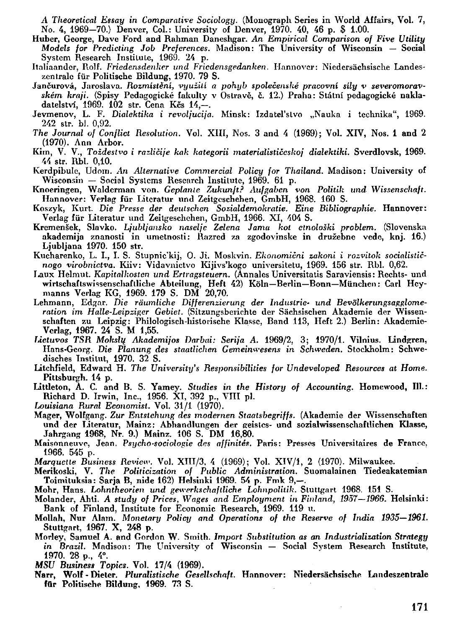A Theoretical Essay in Comparative Sociology. (Monograph Series in World Affairs, Vol. 7, N o. 4, 1969-70.) Denver, Col.: University of Denver, 1970. 40, 46 p. \$ 1.00.

- Huber, George, Dave Ford and Rahman Daneshgar. An Empirical Comparison of Five Utility *Models for Prcdicting Job Preferences.* Madison : The University of Wisconsin — Sociál System Research Institute, 1969. 24 p.
- Italiaandcr, Piolf. *Friedensdenher und Fricdensgedanken.* Hannover: Niedersachsische Landeszentrale für Politische Bildung, 1970. 79 S.
- Jančurová , Jaroslava. *Rozmístěni, využili a pohyb společenské pracovní sily v severomorav*ském kraji. (Spisy Pedagogické fakulty v Ostravě, č. 12.) Praha: Státní pedagogické nakladatelství, 1969. 102 str. Cena Kčs 14,-.
- Jevmenov, L. F. *Dialektika i revoljucija*. Minsk: Izdatel'stvo "Nauka i technika", 1969. 242 str. bl. 0,92.
- *The Journal oj Conflicl Resolution.* Vol . XIII, Nos. 3 and 4 (1969); Vol . XIV , Nos. 1 and 2  $(1970)$ . Ann Arbor.
- Kim , V . V. , *Toždestvo i različije kak kategorii materialističeskoj dialektiki.* Sverdlovsk, 1969. 44 str. Rbl. 0,10.
- Kerdpibule, Udom. An Alternative Commercial Policy for Thailand. Madison: University of Wisconsin — Sociál Systems Research Institute, 1969. 61 p.
- Knoeringen, Walderman von. Geplante Zukunft? Aufgaben von Politik und Wissenschaft. Hannover: Verlag für Literatur und Zeitgeschehen, GmbH, 1968. 160 S.
- Koszyk, Kurt. *Die Presse der deutschen Sozialdemokratie. Eine Bibliographie.* Hannover: Verlag für Literatur und Zeitgeschehen, GmbH, 1966. XI, 404 S.
- Kremenšek, Slavko. Ljubljansko naselje Zelena Jamu kot etnološki problem. (Slovenska akademija znanosti in umetnosti: Razred za zgodovinske in družebne vede, knj. 16.) Ljubljana 1970. 150 str.
- Kucharenko, L . I., I. S. Stupnic'kij, O. Ji . Moskvin . *Ekonomicni zakoni i rozvitok socialističnogo virobnictva.* Kiiv : Vidavnictvo Kijivs'kogo universitetu, 1969. 156 str. Rbl . 0,62.
- I<aux Helmut. *Kapitalkostcn und Ertragsteuern.* (Annales Universitatis Saraviensis: Rcchts- und wirtschaftswissenschaflliche Abtcilung, Heft 42) Koln—Berlin—Bonn—Miinchen : Caři Hcy manns Verlag KG, 1969. 179 S. DM 20,70.
- Lehmann, Edgar. Die räumliche Differenzierung der Industrie- und Bevölkerungsagglomeration im Halle-Leipziger Gebiet. (Sitzungsberichte der Sächsischen Akademie der Wissenschaften zu Leipzig: Philologisch-historische Klasse, Band 113, Heft 2.) Berlin: Akademie-Vcrlag, 1967. 24 S. M 1,55.
- *Lietuvos TSR Moltsll{ Akademijos Darbai: Serija A.* 1969/2, 3; 1970/1. Vilnius. Lindgren, Hans-Georg. *Die Planung des staatlichen Gemeinwesens in Schwcden.* Stockholm: Schwedisches Institut, 1970. 32 S.
- Litchfield, Edward H. The University's Responsibilities for Undeveloped Resources at Home. Pittsburgh. 14 p.
- Littleton, A. C. and B. S. Yamey. *Studies in the History of Accounting*. Homewood, Ill.: Richard D. Irwin, Inc., 1956. XI, 392 p., VIII pl.
- Louisiana Rural Economist. Vol. 31/1 (1970).
- Mager, Wolfgang. *Zur Entstehung des modernen Staalsbegriffs.* (Akademie der Wissenschaften und der Literatur, Mainz: Abhandlungen der geistes- und sozialwissenschaftlichen Klasse, Jahrgang 1968, Nr. 9.) Mainz. 106 S. DM 16,80.
- Maisonneuve, Jean. Psycho-sociologie des affinités. Paris: Presses Universitaires de France, 1966. 545 p.
- *Marquctte Business Review. Vol. XIII/3, 4 (1969)*; Vol. XIV/1, 2 (1970). Milwaukee.
- Merikoski, V . *The Politicization of Public Administration.* Suomalainen Tiedeakatemian Toimituksia: Sarja B, nide 162) Helsinki 1969. 54 p. Fmk 9,-.
- Mohr, Hans. *Lohntheorien und gewcrkschaftliche Lohnpolitik.* Stuttgart 1968. 151 S.
- Molander, Ahti. *A study of Prices, Wages and Employment in Finland, 1957—1966.* Helsinki : Bank of Finland, Institute for Economic Research, 1969. 119 u.
- Mollah, Nur Alam. *Monetary Policy and Operations of the Reserve of India 1935–1961.* Stuttgart, 1967. X, 248 p.
- Morley, Samuel A . and Gordon W . Srnith. *Import Subslitution as an Industrialization Stratégy in Brazil.* Madison: The University of Wisconsin — Social System Research Institute, 1970. 28 p., 4°.
- *MSU Business Topics.* Vol . 17/4 (1969).
- Narr, Wolf Dietcr. *Pluralistische Gesellschaft.* Hannover: Niedersachsische Landeszentrale für Politische Bildung, 1969. 73 S.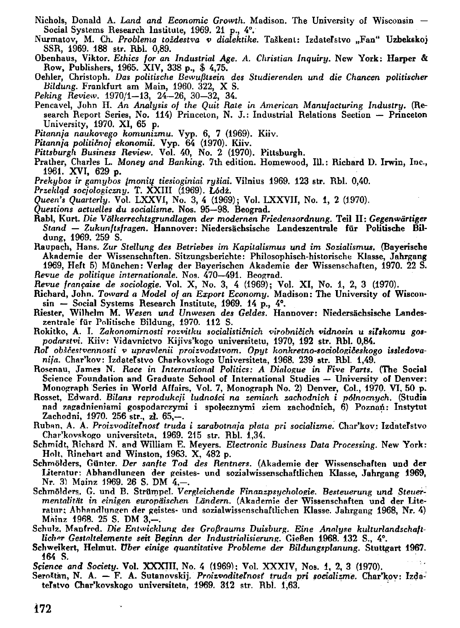- Nichols, Donald A. *Land and Economic Growth*. Madison. The University of Wisconsin Sociál Systems Research Institute, 1969. 21 p., 4°.
- Nurmatov, M. Ch. *Problema toždestva v dialektike*. Taškent: Izdateľstvo "Fan" Uzbekskoj SSR, 1969. 188 str. Rbl. 0,89.
- Obenhaus, Viktor. *Ethics for an Industrial Age. A. Christian Inquiry*. New York: **Harper &** Row, Publishers, 1965. XIV , 338 p., \$ 4,75.
- Oehler, Christoph. *Das politische Bewufilsein des Studierenden und die Chancen politischer Bildung.* Frankfurt am Main, 1960. 322, X S.
- Peking Review. 1970/1-13, 24-26, 30-32, 34.
- Pencavel, John H. An Analysis of the Quit Rate in American Manufacturing Industry. (Research Report Series, No. 114) Princeton, N. J.: Industrial Relations Section - Princeton University, 1970. XI, 65 p.
- Pitannja naukovego komunizmu. Vyp. 6, 7 (1969). Kiiv.
- Pitannja političnoj ekonomii. Vyp. 64 (1970). Kiiv.
- Pittsburgh Business Review. Vol. 40, No. 2 (1970). Pittsburgh.
- Prather, Charles L. Money and Banking. 7th edition. Homewood, Ill.: Richard D. Irwin, Inc., 1961. XVI, 629 p.
- Prekybos ir gamybos įmonių tiesioginiai ryšiai. Vilnius 1969. 123 str. Rbl. 0,40.
- *Przeklqd socjologiczny.* T. XXII I (1969). **Lodž.**
- *Queen's Quarterly.* Vol. LXXVI, No. 3, 4 (1969); Vol. LXXVII, No. 1, 2 (1970).
- *Questions actuelles du socialisme.* Nos. 95—98. Beograd.
- Rabi, Kurt. *Die Vdlkerrechlsgrundlagen der modernen Friedensordnung.* Teil II: *Gegenwártiger Stand — Zukunftsfragen.* Hannover: Niedersachsische Landeszentrale fúr Politische Bil dung, 1969. 259 S.
- Raupach, Hans. *ZUT Stellung des Betriebes im Kapitalismus und im Sozialismus.* (Bayerische Akademie der Wissenschaften. Sitzungsberichte: Philosophisch-historische Klasse, Jahrgang 1969, Heft 5) München: Verlag der Bayerischen Akademie der Wissenschaften, 1970. 22 S. *Revue de politique Internationale.* Nos. 470—491. Beograd.
- *Revue française de sociologie.* Vol. X, No. 3, 4 (1969); Vol. XI, No. 1, 2, 3 (1970).
- Richard, John. Totvard *a Model of an Export Economy.* Madison : The University of Wisconsin — Social Systems Research Institute, 1969. 14 p., 4°.
- Riester, Wilhelm M . *Wesen und Unwesen des Geldes.* Hannover: Niedersachsische Landeszentrale für Politische Bildung, 1970. 112 S.
- Rokitko, A . I. *Zakonomirnosti rozvitku socialističnich virobničich vidnosin u silskomu gospodarsttň.* Kiiv : Vidavnictvo Kijivs'kogo universitetu, 1970, 192 str. Rbl . 0,84.
- *Rol obíčestvennosti v upravlenii proizvodslvom. Opyt konkretno-sociologičeskogo issledovanija.* Char'kov: IzdateTstvo Charkovskogo Universiteta, 1968. 239 str. Rbl . 1,49.
- Rosenau, James N . *Race in International Politics: A Dialogue in Five Parts.* (The Sociál Science Foundation and Graduate School of International Studies — University pf Denver: Monograph Series in World Affairs, Vol. 7, Monograph No. 2) Denver, Col., 1970. VI, 50 p.
- Rosset, Edward. *Bilans reprodukcji ludnoici na zemiach zachodnich i pólnocnych.* (Studia nad zagadnieniami gospodarczymi i spolecznymi ziem zachodnich, 6) Poznaň : Instytut Zachodni, 1970. 256 str., zł. 65,—.
- Rubán , A . A . *ProizvoditeTnosť truda i zarabotnaja plata pri socializme.* Char'kov: IzdateTstvo Char'kovskogo universiteta, 1969. 215 str. Rbl. 1,34.
- Schmidt, Richard N. and William E. Meyers. *Electronic Business Data Processing*. New York: Holt, Rinehart and Winston, 1963. X. 482 p.
- Schmölders, Günter. Der sanfte Tod des Rentners. (Akademie der Wissenschaften und der Literatur: Abhandlungen der geistes- und sozialwissenschaftlichen Klasse, Jahrgang 1969, Nr. 3) Mainz 1969. 26 S. DM 4,-.
- Schmolders, G. und B. Strumpel. *Vergleichende Finanzpsychologie. Besteuerung und Steuermentalit/it in einigen europaischen Landern.* (Akademie der Wissenschaften und der Literatur; Ahhnndlungen der geistes- und sozialwissenschaftlichen Klasse. Jahrgang 1968, Nr. 4) Mainz 1968. 25 S. DM 3,-.
- Schulz, Manfred. Die Entwicklung des Großraums Duisburg. Eine Analyse kulturlandschaft*lichw Gestaltelemente seit Beginn der Industrialisierung.* GieBen 1968. 132 S., 4°.
- Schweikert, Helmut. *Uber einige quanútative Probléme der Bildungsplanung.* Stuttgart 1967. 164 S.
- Science and Society. Vol. XXXIII, No. 4 (1969); Vol. XXXIV, Nos. 1, 2, 3 (1970).
- SeroStán, N . A . F . A . Sutanovskij. *ProizvoditeTnosť truda pri socializme.* Char'kov: IzdateTstvo Char'kovskogo universiteta, 1969. 312 str. Rbí. 1,63.